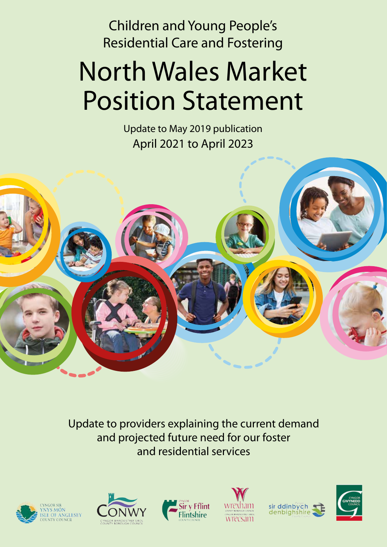Children and Young People's Residential Care and Fostering

# North Wales Market Position Statement

Update to May 2019 publication April 2021 to April 2023



Update to providers explaining the current demand and projected future need for our foster and residential services











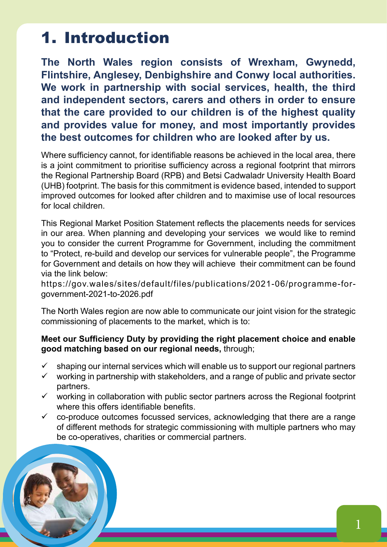### 1. Introduction

**The North Wales region consists of Wrexham, Gwynedd, Flintshire, Anglesey, Denbighshire and Conwy local authorities. We work in partnership with social services, health, the third and independent sectors, carers and others in order to ensure that the care provided to our children is of the highest quality and provides value for money, and most importantly provides the best outcomes for children who are looked after by us.**

Where sufficiency cannot, for identifiable reasons be achieved in the local area, there is a joint commitment to prioritise sufficiency across a regional footprint that mirrors the Regional Partnership Board (RPB) and Betsi Cadwaladr University Health Board (UHB) footprint. The basis for this commitment is evidence based, intended to support improved outcomes for looked after children and to maximise use of local resources for local children.

This Regional Market Position Statement reflects the placements needs for services in our area. When planning and developing your services we would like to remind you to consider the current Programme for Government, including the commitment to "Protect, re-build and develop our services for vulnerable people", the Programme for Government and details on how they will achieve their commitment can be found via the link below:

https://gov.wales/sites/default/files/publications/2021-06/programme-forgovernment-2021-to-2026.pdf

The North Wales region are now able to communicate our joint vision for the strategic commissioning of placements to the market, which is to:

#### **Meet our Sufficiency Duty by providing the right placement choice and enable good matching based on our regional needs,** through;

- $\checkmark$  shaping our internal services which will enable us to support our regional partners
- $\checkmark$  working in partnership with stakeholders, and a range of public and private sector partners.
- $\checkmark$  working in collaboration with public sector partners across the Regional footprint where this offers identifiable benefits.
- $\checkmark$  co-produce outcomes focussed services, acknowledging that there are a range of different methods for strategic commissioning with multiple partners who may be co-operatives, charities or commercial partners.

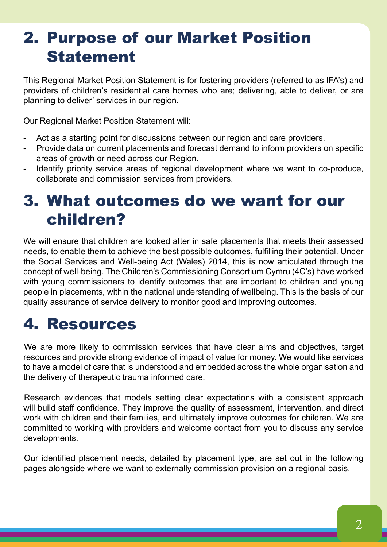# 2. Purpose of our Market Position Statement

This Regional Market Position Statement is for fostering providers (referred to as IFA's) and providers of children's residential care homes who are; delivering, able to deliver, or are planning to deliver' services in our region.

Our Regional Market Position Statement will:

- Act as a starting point for discussions between our region and care providers.
- Provide data on current placements and forecast demand to inform providers on specific areas of growth or need across our Region.
- Identify priority service areas of regional development where we want to co-produce, collaborate and commission services from providers.

### 3. What outcomes do we want for our children?

We will ensure that children are looked after in safe placements that meets their assessed needs, to enable them to achieve the best possible outcomes, fulfilling their potential. Under the Social Services and Well-being Act (Wales) 2014, this is now articulated through the concept of well-being. The Children's Commissioning Consortium Cymru (4C's) have worked with young commissioners to identify outcomes that are important to children and young people in placements, within the national understanding of wellbeing. This is the basis of our quality assurance of service delivery to monitor good and improving outcomes.

### 4. Resources

We are more likely to commission services that have clear aims and objectives, target resources and provide strong evidence of impact of value for money. We would like services to have a model of care that is understood and embedded across the whole organisation and the delivery of therapeutic trauma informed care.

Research evidences that models setting clear expectations with a consistent approach will build staff confidence. They improve the quality of assessment, intervention, and direct work with children and their families, and ultimately improve outcomes for children. We are committed to working with providers and welcome contact from you to discuss any service developments.

Our identified placement needs, detailed by placement type, are set out in the following pages alongside where we want to externally commission provision on a regional basis.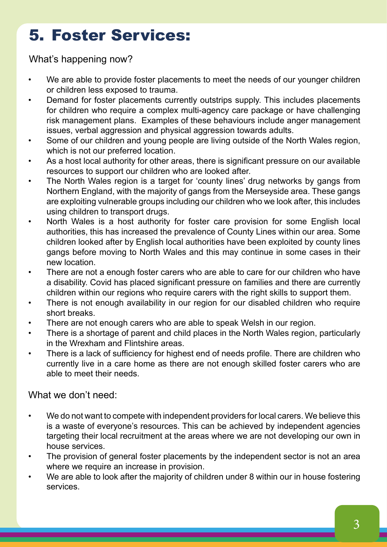# 5. Foster Services:

What's happening now?

- We are able to provide foster placements to meet the needs of our younger children or children less exposed to trauma.
- Demand for foster placements currently outstrips supply. This includes placements for children who require a complex multi-agency care package or have challenging risk management plans. Examples of these behaviours include anger management issues, verbal aggression and physical aggression towards adults.
- Some of our children and young people are living outside of the North Wales region, which is not our preferred location.
- As a host local authority for other areas, there is significant pressure on our available resources to support our children who are looked after.
- The North Wales region is a target for 'county lines' drug networks by gangs from Northern England, with the majority of gangs from the Merseyside area. These gangs are exploiting vulnerable groups including our children who we look after, this includes using children to transport drugs.
- North Wales is a host authority for foster care provision for some English local authorities, this has increased the prevalence of County Lines within our area. Some children looked after by English local authorities have been exploited by county lines gangs before moving to North Wales and this may continue in some cases in their new location.
- There are not a enough foster carers who are able to care for our children who have a disability. Covid has placed significant pressure on families and there are currently children within our regions who require carers with the right skills to support them.
- There is not enough availability in our region for our disabled children who require short breaks.
- There are not enough carers who are able to speak Welsh in our region.
- There is a shortage of parent and child places in the North Wales region, particularly in the Wrexham and Flintshire areas.
- There is a lack of sufficiency for highest end of needs profile. There are children who currently live in a care home as there are not enough skilled foster carers who are able to meet their needs.

What we don't need:

- We do not want to compete with independent providers for local carers. We believe this is a waste of everyone's resources. This can be achieved by independent agencies targeting their local recruitment at the areas where we are not developing our own in house services.
- The provision of general foster placements by the independent sector is not an area where we require an increase in provision.
- We are able to look after the majority of children under 8 within our in house fostering services.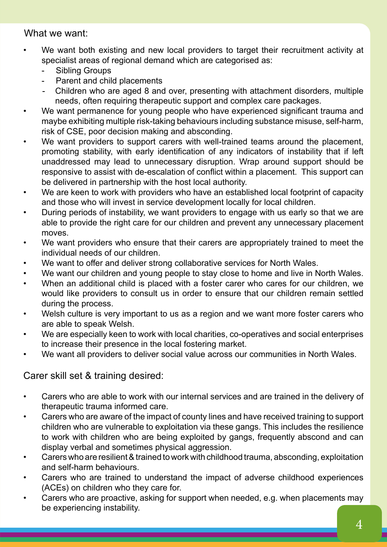#### What we want:

- We want both existing and new local providers to target their recruitment activity at specialist areas of regional demand which are categorised as:
	- Sibling Groups
	- Parent and child placements
	- Children who are aged 8 and over, presenting with attachment disorders, multiple needs, often requiring therapeutic support and complex care packages.
- We want permanence for young people who have experienced significant trauma and maybe exhibiting multiple risk-taking behaviours including substance misuse, self-harm, risk of CSE, poor decision making and absconding.
- We want providers to support carers with well-trained teams around the placement, promoting stability, with early identification of any indicators of instability that if left unaddressed may lead to unnecessary disruption. Wrap around support should be responsive to assist with de-escalation of conflict within a placement. This support can be delivered in partnership with the host local authority.
- We are keen to work with providers who have an established local footprint of capacity and those who will invest in service development locally for local children.
- During periods of instability, we want providers to engage with us early so that we are able to provide the right care for our children and prevent any unnecessary placement moves.
- We want providers who ensure that their carers are appropriately trained to meet the individual needs of our children.
- We want to offer and deliver strong collaborative services for North Wales.
- We want our children and young people to stay close to home and live in North Wales.
- When an additional child is placed with a foster carer who cares for our children, we would like providers to consult us in order to ensure that our children remain settled during the process.
- Welsh culture is very important to us as a region and we want more foster carers who are able to speak Welsh.
- We are especially keen to work with local charities, co-operatives and social enterprises to increase their presence in the local fostering market.
- We want all providers to deliver social value across our communities in North Wales.

#### Carer skill set & training desired:

- Carers who are able to work with our internal services and are trained in the delivery of therapeutic trauma informed care.
- Carers who are aware of the impact of county lines and have received training to support children who are vulnerable to exploitation via these gangs. This includes the resilience to work with children who are being exploited by gangs, frequently abscond and can display verbal and sometimes physical aggression.
- Carers who are resilient & trained to work with childhood trauma, absconding, exploitation and self-harm behaviours.
- Carers who are trained to understand the impact of adverse childhood experiences (ACEs) on children who they care for.
- Carers who are proactive, asking for support when needed, e.g. when placements may be experiencing instability.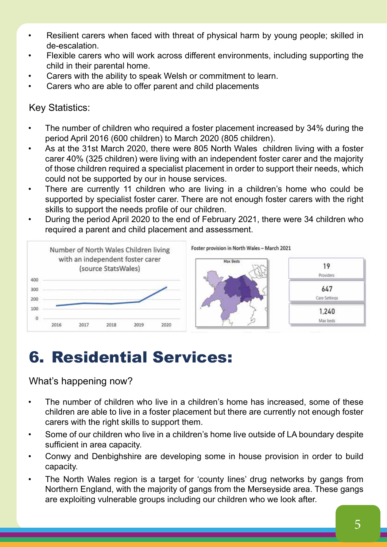- Resilient carers when faced with threat of physical harm by young people; skilled in de-escalation.
- Flexible carers who will work across different environments, including supporting the child in their parental home.
- Carers with the ability to speak Welsh or commitment to learn.
- Carers who are able to offer parent and child placements

#### Key Statistics:

- The number of children who required a foster placement increased by 34% during the period April 2016 (600 children) to March 2020 (805 children).
- As at the 31st March 2020, there were 805 North Wales children living with a foster carer 40% (325 children) were living with an independent foster carer and the majority of those children required a specialist placement in order to support their needs, which could not be supported by our in house services.
- There are currently 11 children who are living in a children's home who could be supported by specialist foster carer. There are not enough foster carers with the right skills to support the needs profile of our children.
- During the period April 2020 to the end of February 2021, there were 34 children who required a parent and child placement and assessment.



# 6. Residential Services:

#### What's happening now?

- The number of children who live in a children's home has increased, some of these children are able to live in a foster placement but there are currently not enough foster carers with the right skills to support them.
- Some of our children who live in a children's home live outside of LA boundary despite sufficient in area capacity.
- Conwy and Denbighshire are developing some in house provision in order to build capacity.
- The North Wales region is a target for 'county lines' drug networks by gangs from Northern England, with the majority of gangs from the Merseyside area. These gangs are exploiting vulnerable groups including our children who we look after.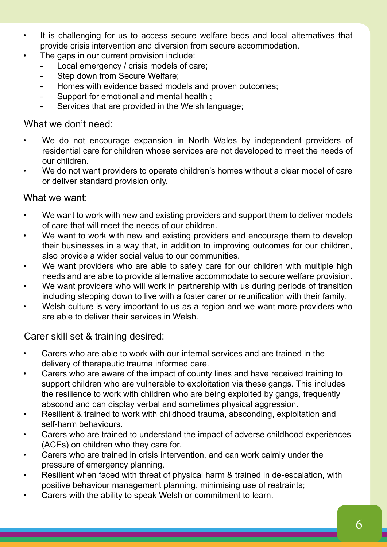- It is challenging for us to access secure welfare beds and local alternatives that provide crisis intervention and diversion from secure accommodation.
- The gaps in our current provision include:
	- Local emergency / crisis models of care;
	- Step down from Secure Welfare;
	- Homes with evidence based models and proven outcomes;
	- Support for emotional and mental health :
	- Services that are provided in the Welsh language;

#### What we don't need:

- We do not encourage expansion in North Wales by independent providers of residential care for children whose services are not developed to meet the needs of our children.
- We do not want providers to operate children's homes without a clear model of care or deliver standard provision only.

#### What we want:

- We want to work with new and existing providers and support them to deliver models of care that will meet the needs of our children.
- We want to work with new and existing providers and encourage them to develop their businesses in a way that, in addition to improving outcomes for our children, also provide a wider social value to our communities.
- We want providers who are able to safely care for our children with multiple high needs and are able to provide alternative accommodate to secure welfare provision.
- We want providers who will work in partnership with us during periods of transition including stepping down to live with a foster carer or reunification with their family.
- Welsh culture is very important to us as a region and we want more providers who are able to deliver their services in Welsh.

#### Carer skill set & training desired:

- Carers who are able to work with our internal services and are trained in the delivery of therapeutic trauma informed care.
- Carers who are aware of the impact of county lines and have received training to support children who are vulnerable to exploitation via these gangs. This includes the resilience to work with children who are being exploited by gangs, frequently abscond and can display verbal and sometimes physical aggression.
- Resilient & trained to work with childhood trauma, absconding, exploitation and self-harm behaviours.
- Carers who are trained to understand the impact of adverse childhood experiences (ACEs) on children who they care for.
- Carers who are trained in crisis intervention, and can work calmly under the pressure of emergency planning.
- Resilient when faced with threat of physical harm & trained in de-escalation, with positive behaviour management planning, minimising use of restraints;
- Carers with the ability to speak Welsh or commitment to learn.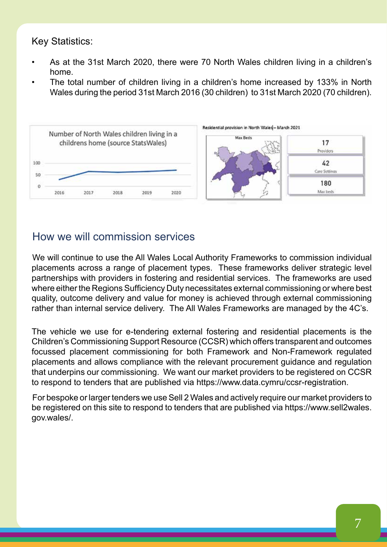#### Key Statistics:

- As at the 31st March 2020, there were 70 North Wales children living in a children's home.
- The total number of children living in a children's home increased by 133% in North Wales during the period 31st March 2016 (30 children) to 31st March 2020 (70 children).



#### How we will commission services

We will continue to use the All Wales Local Authority Frameworks to commission individual placements across a range of placement types. These frameworks deliver strategic level partnerships with providers in fostering and residential services. The frameworks are used where either the Regions Sufficiency Duty necessitates external commissioning or where best quality, outcome delivery and value for money is achieved through external commissioning rather than internal service delivery. The All Wales Frameworks are managed by the 4C's.

The vehicle we use for e-tendering external fostering and residential placements is the Children's Commissioning Support Resource (CCSR) which offers transparent and outcomes focussed placement commissioning for both Framework and Non-Framework regulated placements and allows compliance with the relevant procurement guidance and regulation that underpins our commissioning. We want our market providers to be registered on CCSR to respond to tenders that are published via https://www.data.cymru/ccsr-registration.

For bespoke or larger tenders we use Sell 2 Wales and actively require our market providers to be registered on this site to respond to tenders that are published via https://www.sell2wales. gov.wales/.